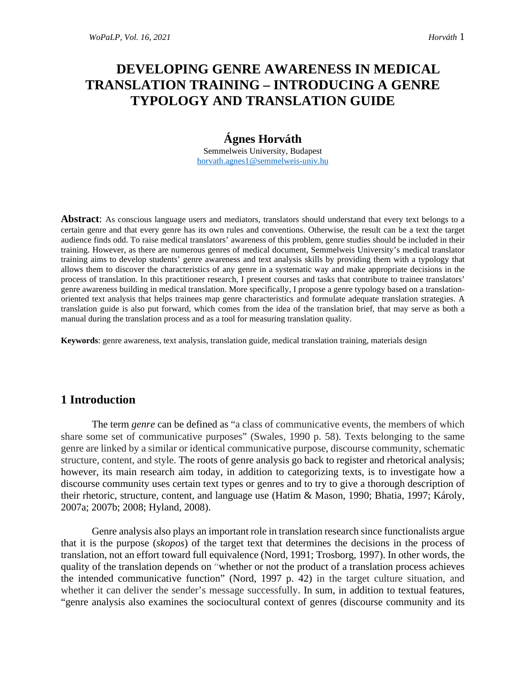# **DEVELOPING GENRE AWARENESS IN MEDICAL TRANSLATION TRAINING – INTRODUCING A GENRE TYPOLOGY AND TRANSLATION GUIDE**

# **Ágnes Horváth**

Semmelweis University, Budapest [horvath.agnes1@semmelweis-univ.hu](mailto:horvath.agnes1@semmelweis-univ.hu)

**Abstract**: As conscious language users and mediators, translators should understand that every text belongs to a certain genre and that every genre has its own rules and conventions. Otherwise, the result can be a text the target audience finds odd. To raise medical translators' awareness of this problem, genre studies should be included in their training. However, as there are numerous genres of medical document, Semmelweis University's medical translator training aims to develop students' genre awareness and text analysis skills by providing them with a typology that allows them to discover the characteristics of any genre in a systematic way and make appropriate decisions in the process of translation. In this practitioner research, I present courses and tasks that contribute to trainee translators' genre awareness building in medical translation. More specifically, I propose a genre typology based on a translationoriented text analysis that helps trainees map genre characteristics and formulate adequate translation strategies. A translation guide is also put forward, which comes from the idea of the translation brief, that may serve as both a manual during the translation process and as a tool for measuring translation quality.

**Keywords**: genre awareness, text analysis, translation guide, medical translation training, materials design

### **1 Introduction**

The term *genre* can be defined as "a class of communicative events, the members of which share some set of communicative purposes" (Swales, 1990 p. 58). Texts belonging to the same genre are linked by a similar or identical communicative purpose, discourse community, schematic structure, content, and style. The roots of genre analysis go back to register and rhetorical analysis; however, its main research aim today, in addition to categorizing texts, is to investigate how a discourse community uses certain text types or genres and to try to give a thorough description of their rhetoric, structure, content, and language use (Hatim & Mason, 1990; Bhatia, 1997; Károly, 2007a; 2007b; 2008; Hyland, 2008).

Genre analysis also plays an important role in translation research since functionalists argue that it is the purpose (*skopos*) of the target text that determines the decisions in the process of translation, not an effort toward full equivalence (Nord, 1991; Trosborg, 1997). In other words, the quality of the translation depends on "whether or not the product of a translation process achieves the intended communicative function" (Nord, 1997 p. 42) in the target culture situation, and whether it can deliver the sender's message successfully. In sum, in addition to textual features, "genre analysis also examines the sociocultural context of genres (discourse community and its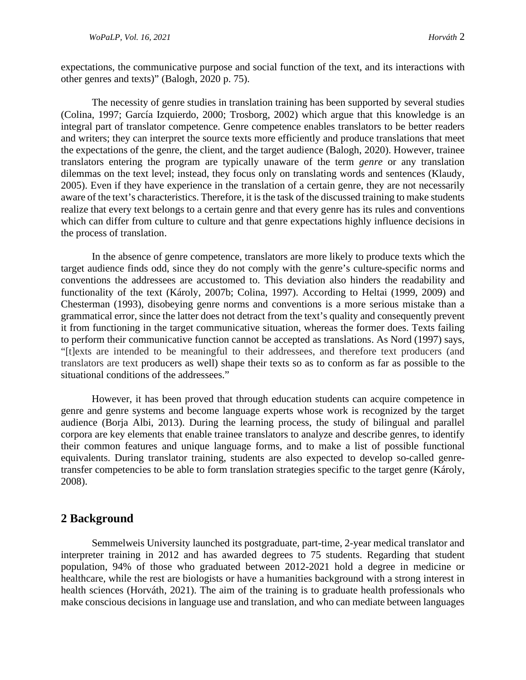expectations, the communicative purpose and social function of the text, and its interactions with other genres and texts)" (Balogh, 2020 p. 75).

The necessity of genre studies in translation training has been supported by several studies (Colina, 1997; García Izquierdo, 2000; Trosborg, 2002) which argue that this knowledge is an integral part of translator competence. Genre competence enables translators to be better readers and writers; they can interpret the source texts more efficiently and produce translations that meet the expectations of the genre, the client, and the target audience (Balogh, 2020). However, trainee translators entering the program are typically unaware of the term *genre* or any translation dilemmas on the text level; instead, they focus only on translating words and sentences (Klaudy, 2005). Even if they have experience in the translation of a certain genre, they are not necessarily aware of the text's characteristics. Therefore, it is the task of the discussed training to make students realize that every text belongs to a certain genre and that every genre has its rules and conventions which can differ from culture to culture and that genre expectations highly influence decisions in the process of translation.

In the absence of genre competence, translators are more likely to produce texts which the target audience finds odd, since they do not comply with the genre's culture-specific norms and conventions the addressees are accustomed to. This deviation also hinders the readability and functionality of the text (Károly, 2007b; Colina, 1997). According to Heltai (1999, 2009) and Chesterman (1993), disobeying genre norms and conventions is a more serious mistake than a grammatical error, since the latter does not detract from the text's quality and consequently prevent it from functioning in the target communicative situation, whereas the former does. Texts failing to perform their communicative function cannot be accepted as translations. As Nord (1997) says, "[t]exts are intended to be meaningful to their addressees, and therefore text producers (and translators are text producers as well) shape their texts so as to conform as far as possible to the situational conditions of the addressees."

However, it has been proved that through education students can acquire competence in genre and genre systems and become language experts whose work is recognized by the target audience (Borja Albi, 2013). During the learning process, the study of bilingual and parallel corpora are key elements that enable trainee translators to analyze and describe genres, to identify their common features and unique language forms, and to make a list of possible functional equivalents. During translator training, students are also expected to develop so-called genretransfer competencies to be able to form translation strategies specific to the target genre (Károly, 2008).

### **2 Background**

Semmelweis University launched its postgraduate, part-time, 2-year medical translator and interpreter training in 2012 and has awarded degrees to 75 students. Regarding that student population, 94% of those who graduated between 2012-2021 hold a degree in medicine or healthcare, while the rest are biologists or have a humanities background with a strong interest in health sciences (Horváth, 2021). The aim of the training is to graduate health professionals who make conscious decisions in language use and translation, and who can mediate between languages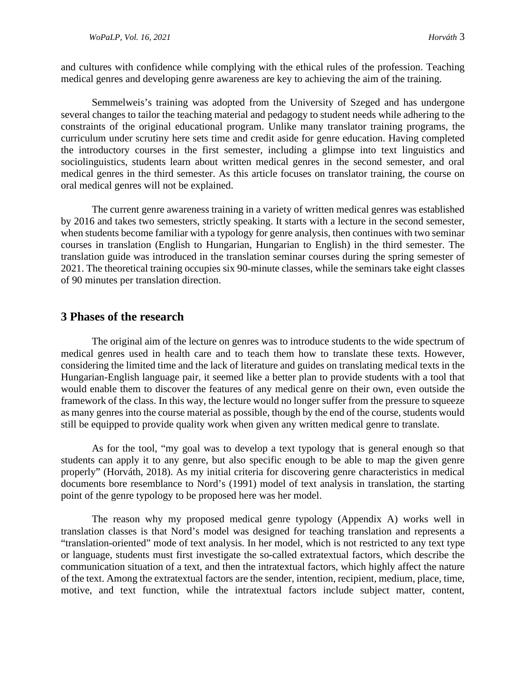and cultures with confidence while complying with the ethical rules of the profession. Teaching medical genres and developing genre awareness are key to achieving the aim of the training.

Semmelweis's training was adopted from the University of Szeged and has undergone several changes to tailor the teaching material and pedagogy to student needs while adhering to the constraints of the original educational program. Unlike many translator training programs, the curriculum under scrutiny here sets time and credit aside for genre education. Having completed the introductory courses in the first semester, including a glimpse into text linguistics and sociolinguistics, students learn about written medical genres in the second semester, and oral medical genres in the third semester. As this article focuses on translator training, the course on oral medical genres will not be explained.

The current genre awareness training in a variety of written medical genres was established by 2016 and takes two semesters, strictly speaking. It starts with a lecture in the second semester, when students become familiar with a typology for genre analysis, then continues with two seminar courses in translation (English to Hungarian, Hungarian to English) in the third semester. The translation guide was introduced in the translation seminar courses during the spring semester of 2021. The theoretical training occupies six 90-minute classes, while the seminars take eight classes of 90 minutes per translation direction.

### **3 Phases of the research**

The original aim of the lecture on genres was to introduce students to the wide spectrum of medical genres used in health care and to teach them how to translate these texts. However, considering the limited time and the lack of literature and guides on translating medical texts in the Hungarian-English language pair, it seemed like a better plan to provide students with a tool that would enable them to discover the features of any medical genre on their own, even outside the framework of the class. In this way, the lecture would no longer suffer from the pressure to squeeze as many genres into the course material as possible, though by the end of the course, students would still be equipped to provide quality work when given any written medical genre to translate.

As for the tool, "my goal was to develop a text typology that is general enough so that students can apply it to any genre, but also specific enough to be able to map the given genre properly" (Horváth, 2018). As my initial criteria for discovering genre characteristics in medical documents bore resemblance to Nord's (1991) model of text analysis in translation, the starting point of the genre typology to be proposed here was her model.

The reason why my proposed medical genre typology (Appendix A) works well in translation classes is that Nord's model was designed for teaching translation and represents a "translation-oriented" mode of text analysis. In her model, which is not restricted to any text type or language, students must first investigate the so-called extratextual factors, which describe the communication situation of a text, and then the intratextual factors, which highly affect the nature of the text. Among the extratextual factors are the sender, intention, recipient, medium, place, time, motive, and text function, while the intratextual factors include subject matter, content,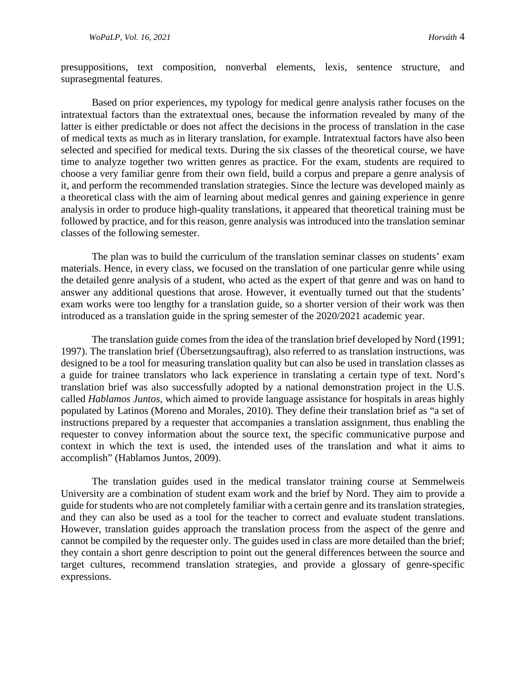presuppositions, text composition, nonverbal elements, lexis, sentence structure, and suprasegmental features.

Based on prior experiences, my typology for medical genre analysis rather focuses on the intratextual factors than the extratextual ones, because the information revealed by many of the latter is either predictable or does not affect the decisions in the process of translation in the case of medical texts as much as in literary translation, for example. Intratextual factors have also been selected and specified for medical texts. During the six classes of the theoretical course, we have time to analyze together two written genres as practice. For the exam, students are required to choose a very familiar genre from their own field, build a corpus and prepare a genre analysis of it, and perform the recommended translation strategies. Since the lecture was developed mainly as a theoretical class with the aim of learning about medical genres and gaining experience in genre analysis in order to produce high-quality translations, it appeared that theoretical training must be followed by practice, and for this reason, genre analysis was introduced into the translation seminar classes of the following semester.

The plan was to build the curriculum of the translation seminar classes on students' exam materials. Hence, in every class, we focused on the translation of one particular genre while using the detailed genre analysis of a student, who acted as the expert of that genre and was on hand to answer any additional questions that arose. However, it eventually turned out that the students' exam works were too lengthy for a translation guide, so a shorter version of their work was then introduced as a translation guide in the spring semester of the 2020/2021 academic year.

The translation guide comes from the idea of the translation brief developed by Nord (1991; 1997). The translation brief (Übersetzungsauftrag), also referred to as translation instructions, was designed to be a tool for measuring translation quality but can also be used in translation classes as a guide for trainee translators who lack experience in translating a certain type of text. Nord's translation brief was also successfully adopted by a national demonstration project in the U.S. called *Hablamos Juntos*, which aimed to provide language assistance for hospitals in areas highly populated by Latinos (Moreno and Morales, 2010). They define their translation brief as "a set of instructions prepared by a requester that accompanies a translation assignment, thus enabling the requester to convey information about the source text, the specific communicative purpose and context in which the text is used, the intended uses of the translation and what it aims to accomplish" (Hablamos Juntos, 2009).

The translation guides used in the medical translator training course at Semmelweis University are a combination of student exam work and the brief by Nord. They aim to provide a guide for students who are not completely familiar with a certain genre and its translation strategies, and they can also be used as a tool for the teacher to correct and evaluate student translations. However, translation guides approach the translation process from the aspect of the genre and cannot be compiled by the requester only. The guides used in class are more detailed than the brief; they contain a short genre description to point out the general differences between the source and target cultures, recommend translation strategies, and provide a glossary of genre-specific expressions.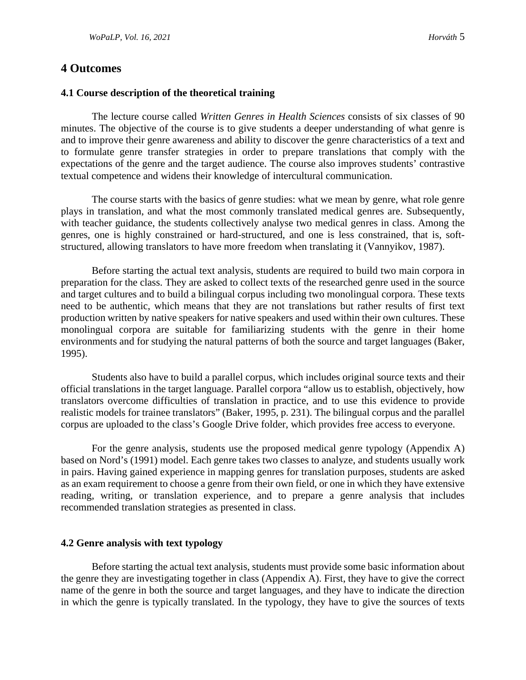### **4 Outcomes**

#### **4.1 Course description of the theoretical training**

The lecture course called *Written Genres in Health Sciences* consists of six classes of 90 minutes. The objective of the course is to give students a deeper understanding of what genre is and to improve their genre awareness and ability to discover the genre characteristics of a text and to formulate genre transfer strategies in order to prepare translations that comply with the expectations of the genre and the target audience. The course also improves students' contrastive textual competence and widens their knowledge of intercultural communication.

The course starts with the basics of genre studies: what we mean by genre, what role genre plays in translation, and what the most commonly translated medical genres are. Subsequently, with teacher guidance, the students collectively analyse two medical genres in class. Among the genres, one is highly constrained or hard-structured, and one is less constrained, that is, softstructured, allowing translators to have more freedom when translating it (Vannyikov, 1987).

Before starting the actual text analysis, students are required to build two main corpora in preparation for the class. They are asked to collect texts of the researched genre used in the source and target cultures and to build a bilingual corpus including two monolingual corpora. These texts need to be authentic, which means that they are not translations but rather results of first text production written by native speakers for native speakers and used within their own cultures. These monolingual corpora are suitable for familiarizing students with the genre in their home environments and for studying the natural patterns of both the source and target languages (Baker, 1995).

Students also have to build a parallel corpus, which includes original source texts and their official translations in the target language. Parallel corpora "allow us to establish, objectively, how translators overcome difficulties of translation in practice, and to use this evidence to provide realistic models for trainee translators" (Baker, 1995, p. 231). The bilingual corpus and the parallel corpus are uploaded to the class's Google Drive folder, which provides free access to everyone.

For the genre analysis, students use the proposed medical genre typology (Appendix A) based on Nord's (1991) model. Each genre takes two classes to analyze, and students usually work in pairs. Having gained experience in mapping genres for translation purposes, students are asked as an exam requirement to choose a genre from their own field, or one in which they have extensive reading, writing, or translation experience, and to prepare a genre analysis that includes recommended translation strategies as presented in class.

#### **4.2 Genre analysis with text typology**

Before starting the actual text analysis, students must provide some basic information about the genre they are investigating together in class (Appendix A). First, they have to give the correct name of the genre in both the source and target languages, and they have to indicate the direction in which the genre is typically translated. In the typology, they have to give the sources of texts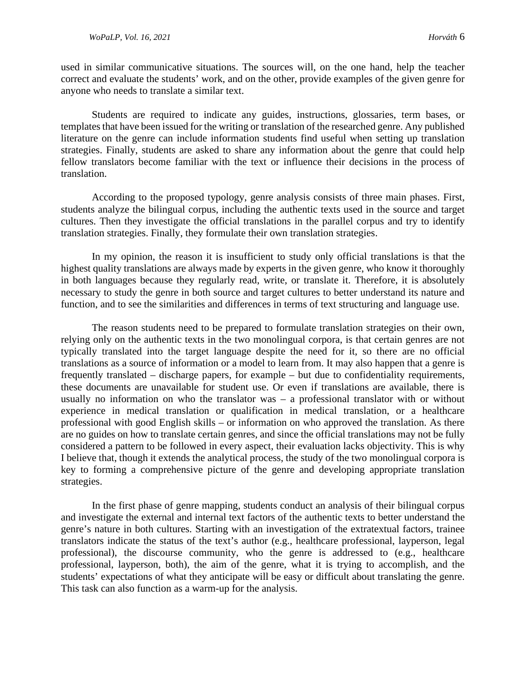used in similar communicative situations. The sources will, on the one hand, help the teacher correct and evaluate the students' work, and on the other, provide examples of the given genre for anyone who needs to translate a similar text.

Students are required to indicate any guides, instructions, glossaries, term bases, or templates that have been issued for the writing or translation of the researched genre. Any published literature on the genre can include information students find useful when setting up translation strategies. Finally, students are asked to share any information about the genre that could help fellow translators become familiar with the text or influence their decisions in the process of translation.

According to the proposed typology, genre analysis consists of three main phases. First, students analyze the bilingual corpus, including the authentic texts used in the source and target cultures. Then they investigate the official translations in the parallel corpus and try to identify translation strategies. Finally, they formulate their own translation strategies.

In my opinion, the reason it is insufficient to study only official translations is that the highest quality translations are always made by experts in the given genre, who know it thoroughly in both languages because they regularly read, write, or translate it. Therefore, it is absolutely necessary to study the genre in both source and target cultures to better understand its nature and function, and to see the similarities and differences in terms of text structuring and language use.

The reason students need to be prepared to formulate translation strategies on their own, relying only on the authentic texts in the two monolingual corpora, is that certain genres are not typically translated into the target language despite the need for it, so there are no official translations as a source of information or a model to learn from. It may also happen that a genre is frequently translated – discharge papers, for example – but due to confidentiality requirements, these documents are unavailable for student use. Or even if translations are available, there is usually no information on who the translator was – a professional translator with or without experience in medical translation or qualification in medical translation, or a healthcare professional with good English skills – or information on who approved the translation. As there are no guides on how to translate certain genres, and since the official translations may not be fully considered a pattern to be followed in every aspect, their evaluation lacks objectivity. This is why I believe that, though it extends the analytical process, the study of the two monolingual corpora is key to forming a comprehensive picture of the genre and developing appropriate translation strategies.

In the first phase of genre mapping, students conduct an analysis of their bilingual corpus and investigate the external and internal text factors of the authentic texts to better understand the genre's nature in both cultures. Starting with an investigation of the extratextual factors, trainee translators indicate the status of the text's author (e.g., healthcare professional, layperson, legal professional), the discourse community, who the genre is addressed to (e.g., healthcare professional, layperson, both), the aim of the genre, what it is trying to accomplish, and the students' expectations of what they anticipate will be easy or difficult about translating the genre. This task can also function as a warm-up for the analysis.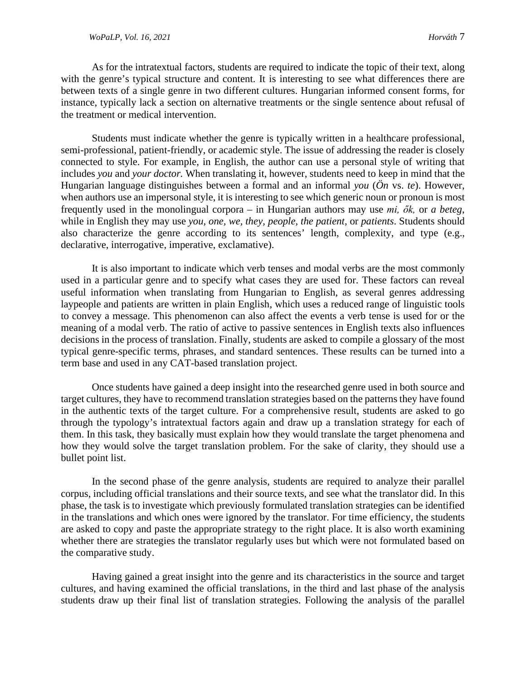#### *WoPaLP, Vol. 16, 2021 Horváth* 7

As for the intratextual factors, students are required to indicate the topic of their text, along with the genre's typical structure and content. It is interesting to see what differences there are between texts of a single genre in two different cultures. Hungarian informed consent forms, for instance, typically lack a section on alternative treatments or the single sentence about refusal of the treatment or medical intervention.

Students must indicate whether the genre is typically written in a healthcare professional, semi-professional, patient-friendly, or academic style. The issue of addressing the reader is closely connected to style. For example, in English, the author can use a personal style of writing that includes *you* and *your doctor.* When translating it, however, students need to keep in mind that the Hungarian language distinguishes between a formal and an informal *you* (*Ön* vs. *te*). However, when authors use an impersonal style, it is interesting to see which generic noun or pronoun is most frequently used in the monolingual corpora – in Hungarian authors may use *mi, ők,* or *a beteg*, while in English they may use *you, one, we, they, people, the patient,* or *patients*. Students should also characterize the genre according to its sentences' length, complexity, and type (e.g., declarative, interrogative, imperative, exclamative).

It is also important to indicate which verb tenses and modal verbs are the most commonly used in a particular genre and to specify what cases they are used for. These factors can reveal useful information when translating from Hungarian to English, as several genres addressing laypeople and patients are written in plain English, which uses a reduced range of linguistic tools to convey a message. This phenomenon can also affect the events a verb tense is used for or the meaning of a modal verb. The ratio of active to passive sentences in English texts also influences decisions in the process of translation. Finally, students are asked to compile a glossary of the most typical genre-specific terms, phrases, and standard sentences. These results can be turned into a term base and used in any CAT-based translation project.

Once students have gained a deep insight into the researched genre used in both source and target cultures, they have to recommend translation strategies based on the patterns they have found in the authentic texts of the target culture. For a comprehensive result, students are asked to go through the typology's intratextual factors again and draw up a translation strategy for each of them. In this task, they basically must explain how they would translate the target phenomena and how they would solve the target translation problem. For the sake of clarity, they should use a bullet point list.

In the second phase of the genre analysis, students are required to analyze their parallel corpus, including official translations and their source texts, and see what the translator did. In this phase, the task is to investigate which previously formulated translation strategies can be identified in the translations and which ones were ignored by the translator. For time efficiency, the students are asked to copy and paste the appropriate strategy to the right place. It is also worth examining whether there are strategies the translator regularly uses but which were not formulated based on the comparative study.

Having gained a great insight into the genre and its characteristics in the source and target cultures, and having examined the official translations, in the third and last phase of the analysis students draw up their final list of translation strategies. Following the analysis of the parallel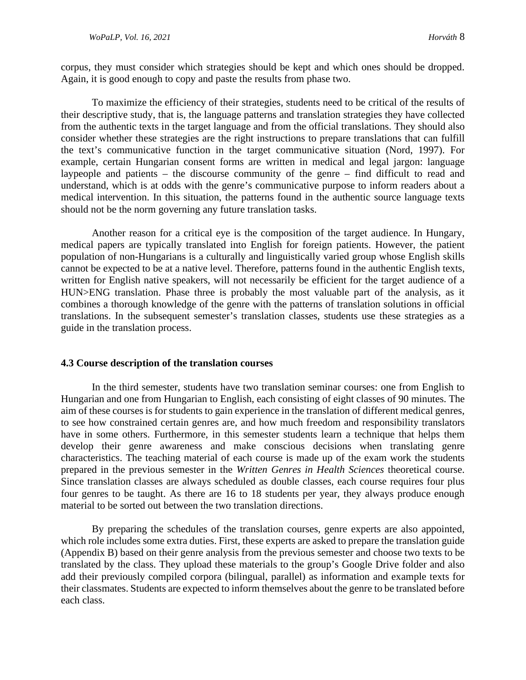corpus, they must consider which strategies should be kept and which ones should be dropped. Again, it is good enough to copy and paste the results from phase two.

To maximize the efficiency of their strategies, students need to be critical of the results of their descriptive study, that is, the language patterns and translation strategies they have collected from the authentic texts in the target language and from the official translations. They should also consider whether these strategies are the right instructions to prepare translations that can fulfill the text's communicative function in the target communicative situation (Nord, 1997). For example, certain Hungarian consent forms are written in medical and legal jargon: language laypeople and patients – the discourse community of the genre – find difficult to read and understand, which is at odds with the genre's communicative purpose to inform readers about a medical intervention. In this situation, the patterns found in the authentic source language texts should not be the norm governing any future translation tasks.

Another reason for a critical eye is the composition of the target audience. In Hungary, medical papers are typically translated into English for foreign patients. However, the patient population of non-Hungarians is a culturally and linguistically varied group whose English skills cannot be expected to be at a native level. Therefore, patterns found in the authentic English texts, written for English native speakers, will not necessarily be efficient for the target audience of a HUN>ENG translation. Phase three is probably the most valuable part of the analysis, as it combines a thorough knowledge of the genre with the patterns of translation solutions in official translations. In the subsequent semester's translation classes, students use these strategies as a guide in the translation process.

#### **4.3 Course description of the translation courses**

In the third semester, students have two translation seminar courses: one from English to Hungarian and one from Hungarian to English, each consisting of eight classes of 90 minutes. The aim of these courses is for students to gain experience in the translation of different medical genres, to see how constrained certain genres are, and how much freedom and responsibility translators have in some others. Furthermore, in this semester students learn a technique that helps them develop their genre awareness and make conscious decisions when translating genre characteristics. The teaching material of each course is made up of the exam work the students prepared in the previous semester in the *Written Genres in Health Sciences* theoretical course. Since translation classes are always scheduled as double classes, each course requires four plus four genres to be taught. As there are 16 to 18 students per year, they always produce enough material to be sorted out between the two translation directions.

By preparing the schedules of the translation courses, genre experts are also appointed, which role includes some extra duties. First, these experts are asked to prepare the translation guide (Appendix B) based on their genre analysis from the previous semester and choose two texts to be translated by the class. They upload these materials to the group's Google Drive folder and also add their previously compiled corpora (bilingual, parallel) as information and example texts for their classmates. Students are expected to inform themselves about the genre to be translated before each class.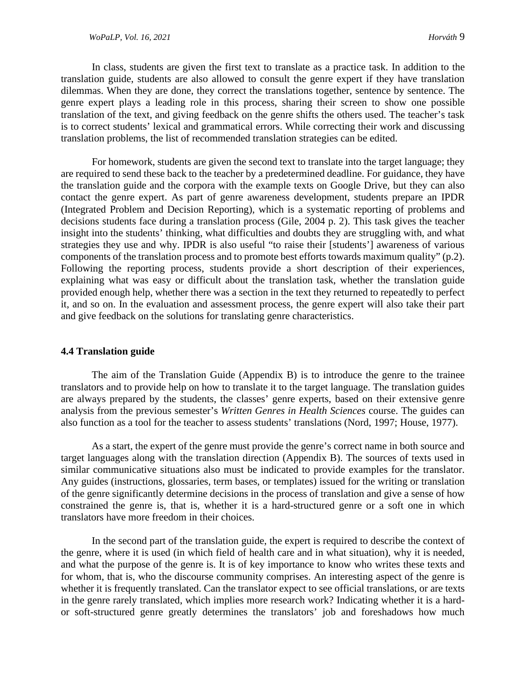In class, students are given the first text to translate as a practice task. In addition to the translation guide, students are also allowed to consult the genre expert if they have translation dilemmas. When they are done, they correct the translations together, sentence by sentence. The genre expert plays a leading role in this process, sharing their screen to show one possible translation of the text, and giving feedback on the genre shifts the others used. The teacher's task is to correct students' lexical and grammatical errors. While correcting their work and discussing translation problems, the list of recommended translation strategies can be edited.

For homework, students are given the second text to translate into the target language; they are required to send these back to the teacher by a predetermined deadline. For guidance, they have the translation guide and the corpora with the example texts on Google Drive, but they can also contact the genre expert. As part of genre awareness development, students prepare an IPDR (Integrated Problem and Decision Reporting), which is a systematic reporting of problems and decisions students face during a translation process (Gile, 2004 p. 2). This task gives the teacher insight into the students' thinking, what difficulties and doubts they are struggling with, and what strategies they use and why. IPDR is also useful "to raise their [students'] awareness of various components of the translation process and to promote best efforts towards maximum quality" (p.2). Following the reporting process, students provide a short description of their experiences, explaining what was easy or difficult about the translation task, whether the translation guide provided enough help, whether there was a section in the text they returned to repeatedly to perfect it, and so on. In the evaluation and assessment process, the genre expert will also take their part and give feedback on the solutions for translating genre characteristics.

#### **4.4 Translation guide**

The aim of the Translation Guide (Appendix B) is to introduce the genre to the trainee translators and to provide help on how to translate it to the target language. The translation guides are always prepared by the students, the classes' genre experts, based on their extensive genre analysis from the previous semester's *Written Genres in Health Sciences* course. The guides can also function as a tool for the teacher to assess students' translations (Nord, 1997; House, 1977).

As a start, the expert of the genre must provide the genre's correct name in both source and target languages along with the translation direction (Appendix B). The sources of texts used in similar communicative situations also must be indicated to provide examples for the translator. Any guides (instructions, glossaries, term bases, or templates) issued for the writing or translation of the genre significantly determine decisions in the process of translation and give a sense of how constrained the genre is, that is, whether it is a hard-structured genre or a soft one in which translators have more freedom in their choices.

In the second part of the translation guide, the expert is required to describe the context of the genre, where it is used (in which field of health care and in what situation), why it is needed, and what the purpose of the genre is. It is of key importance to know who writes these texts and for whom, that is, who the discourse community comprises. An interesting aspect of the genre is whether it is frequently translated. Can the translator expect to see official translations, or are texts in the genre rarely translated, which implies more research work? Indicating whether it is a hardor soft-structured genre greatly determines the translators' job and foreshadows how much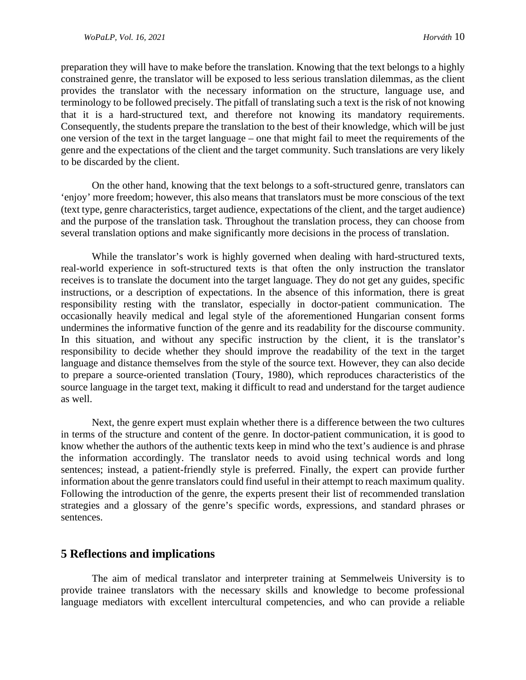preparation they will have to make before the translation. Knowing that the text belongs to a highly constrained genre, the translator will be exposed to less serious translation dilemmas, as the client provides the translator with the necessary information on the structure, language use, and terminology to be followed precisely. The pitfall of translating such a text is the risk of not knowing that it is a hard-structured text, and therefore not knowing its mandatory requirements. Consequently, the students prepare the translation to the best of their knowledge, which will be just one version of the text in the target language – one that might fail to meet the requirements of the genre and the expectations of the client and the target community. Such translations are very likely to be discarded by the client.

On the other hand, knowing that the text belongs to a soft-structured genre, translators can 'enjoy' more freedom; however, this also means that translators must be more conscious of the text (text type, genre characteristics, target audience, expectations of the client, and the target audience) and the purpose of the translation task. Throughout the translation process, they can choose from several translation options and make significantly more decisions in the process of translation.

While the translator's work is highly governed when dealing with hard-structured texts, real-world experience in soft-structured texts is that often the only instruction the translator receives is to translate the document into the target language. They do not get any guides, specific instructions, or a description of expectations. In the absence of this information, there is great responsibility resting with the translator, especially in doctor-patient communication. The occasionally heavily medical and legal style of the aforementioned Hungarian consent forms undermines the informative function of the genre and its readability for the discourse community. In this situation, and without any specific instruction by the client, it is the translator's responsibility to decide whether they should improve the readability of the text in the target language and distance themselves from the style of the source text. However, they can also decide to prepare a source-oriented translation (Toury, 1980), which reproduces characteristics of the source language in the target text, making it difficult to read and understand for the target audience as well.

Next, the genre expert must explain whether there is a difference between the two cultures in terms of the structure and content of the genre. In doctor-patient communication, it is good to know whether the authors of the authentic texts keep in mind who the text's audience is and phrase the information accordingly. The translator needs to avoid using technical words and long sentences; instead, a patient-friendly style is preferred. Finally, the expert can provide further information about the genre translators could find useful in their attempt to reach maximum quality. Following the introduction of the genre, the experts present their list of recommended translation strategies and a glossary of the genre's specific words, expressions, and standard phrases or sentences.

# **5 Reflections and implications**

The aim of medical translator and interpreter training at Semmelweis University is to provide trainee translators with the necessary skills and knowledge to become professional language mediators with excellent intercultural competencies, and who can provide a reliable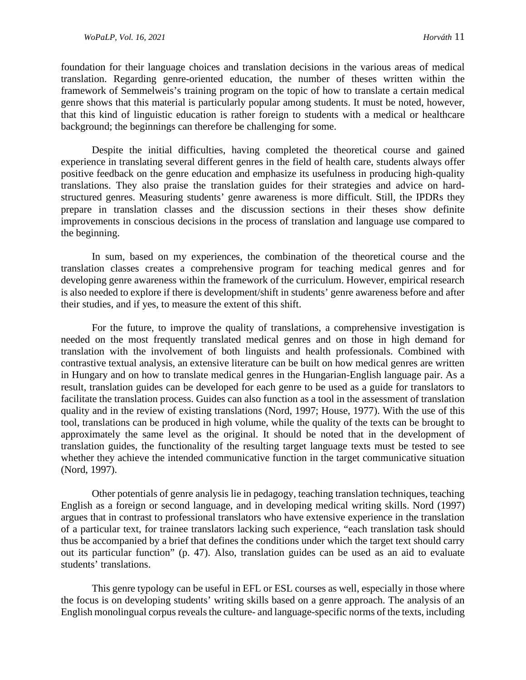foundation for their language choices and translation decisions in the various areas of medical translation. Regarding genre-oriented education, the number of theses written within the framework of Semmelweis's training program on the topic of how to translate a certain medical genre shows that this material is particularly popular among students. It must be noted, however, that this kind of linguistic education is rather foreign to students with a medical or healthcare background; the beginnings can therefore be challenging for some.

Despite the initial difficulties, having completed the theoretical course and gained experience in translating several different genres in the field of health care, students always offer positive feedback on the genre education and emphasize its usefulness in producing high-quality translations. They also praise the translation guides for their strategies and advice on hardstructured genres. Measuring students' genre awareness is more difficult. Still, the IPDRs they prepare in translation classes and the discussion sections in their theses show definite improvements in conscious decisions in the process of translation and language use compared to the beginning.

In sum, based on my experiences, the combination of the theoretical course and the translation classes creates a comprehensive program for teaching medical genres and for developing genre awareness within the framework of the curriculum. However, empirical research is also needed to explore if there is development/shift in students' genre awareness before and after their studies, and if yes, to measure the extent of this shift.

For the future, to improve the quality of translations, a comprehensive investigation is needed on the most frequently translated medical genres and on those in high demand for translation with the involvement of both linguists and health professionals. Combined with contrastive textual analysis, an extensive literature can be built on how medical genres are written in Hungary and on how to translate medical genres in the Hungarian-English language pair. As a result, translation guides can be developed for each genre to be used as a guide for translators to facilitate the translation process. Guides can also function as a tool in the assessment of translation quality and in the review of existing translations (Nord, 1997; House, 1977). With the use of this tool, translations can be produced in high volume, while the quality of the texts can be brought to approximately the same level as the original. It should be noted that in the development of translation guides, the functionality of the resulting target language texts must be tested to see whether they achieve the intended communicative function in the target communicative situation (Nord, 1997).

Other potentials of genre analysis lie in pedagogy, teaching translation techniques, teaching English as a foreign or second language, and in developing medical writing skills. Nord (1997) argues that in contrast to professional translators who have extensive experience in the translation of a particular text, for trainee translators lacking such experience, "each translation task should thus be accompanied by a brief that defines the conditions under which the target text should carry out its particular function" (p. 47). Also, translation guides can be used as an aid to evaluate students' translations.

This genre typology can be useful in EFL or ESL courses as well, especially in those where the focus is on developing students' writing skills based on a genre approach. The analysis of an English monolingual corpus reveals the culture- and language-specific norms of the texts, including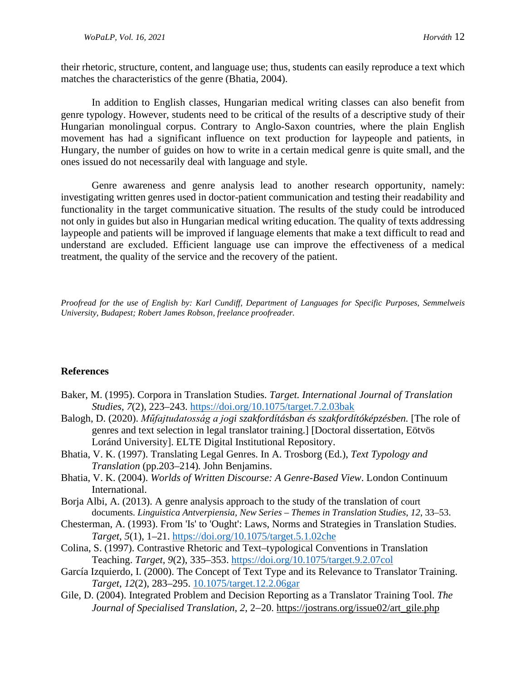their rhetoric, structure, content, and language use; thus, students can easily reproduce a text which matches the characteristics of the genre (Bhatia, 2004).

In addition to English classes, Hungarian medical writing classes can also benefit from genre typology. However, students need to be critical of the results of a descriptive study of their Hungarian monolingual corpus. Contrary to Anglo-Saxon countries, where the plain English movement has had a significant influence on text production for laypeople and patients, in Hungary, the number of guides on how to write in a certain medical genre is quite small, and the ones issued do not necessarily deal with language and style.

Genre awareness and genre analysis lead to another research opportunity, namely: investigating written genres used in doctor-patient communication and testing their readability and functionality in the target communicative situation. The results of the study could be introduced not only in guides but also in Hungarian medical writing education. The quality of texts addressing laypeople and patients will be improved if language elements that make a text difficult to read and understand are excluded. Efficient language use can improve the effectiveness of a medical treatment, the quality of the service and the recovery of the patient.

*Proofread for the use of English by: Karl Cundiff, Department of Languages for Specific Purposes, Semmelweis University, Budapest; Robert James Robson, freelance proofreader.*

#### **References**

- Baker, M. (1995). Corpora in Translation Studies. *Target. International Journal of Translation Studies*, *7*(2), 223–243.<https://doi.org/10.1075/target.7.2.03bak>
- Balogh, D. (2020). *Műfajtudatosság a jogi szakfordításban és szakfordítóképzésben.* [The role of genres and text selection in legal translator training.] [Doctoral dissertation, Eötvös Loránd University]. ELTE Digital Institutional Repository.
- Bhatia, V. K. (1997). Translating Legal Genres. In A. Trosborg (Ed.), *Text Typology and Translation* (pp.203–214)*.* John Benjamins.
- Bhatia, V. K. (2004). *Worlds of Written Discourse: A Genre-Based View*. London Continuum International.
- Borja Albi, A. (2013). A genre analysis approach to the study of the translation of court documents. *Linguistica Antverpiensia, New Series – Themes in Translation Studies*, *12*, 33–53.
- Chesterman, A. (1993). From 'Is' to 'Ought': Laws, Norms and Strategies in Translation Studies. *Target, 5*(1), 1–21.<https://doi.org/10.1075/target.5.1.02che>
- Colina, S. (1997). Contrastive Rhetoric and Text–typological Conventions in Translation Teaching. *Target, 9*(2), 335–353.<https://doi.org/10.1075/target.9.2.07col>
- García Izquierdo, I. (2000). The Concept of Text Type and its Relevance to Translator Training. *Target, 12*(2), 283–295. [10.1075/target.12.2.06gar](http://dx.doi.org/10.1075/target.12.2.06gar)
- Gile, D. (2004). Integrated Problem and Decision Reporting as a Translator Training Tool. *The Journal of Specialised Translation*, *2*, 2−20. [https://jostrans.org/issue02/art\\_gile.php](https://jostrans.org/issue02/art_gile.php)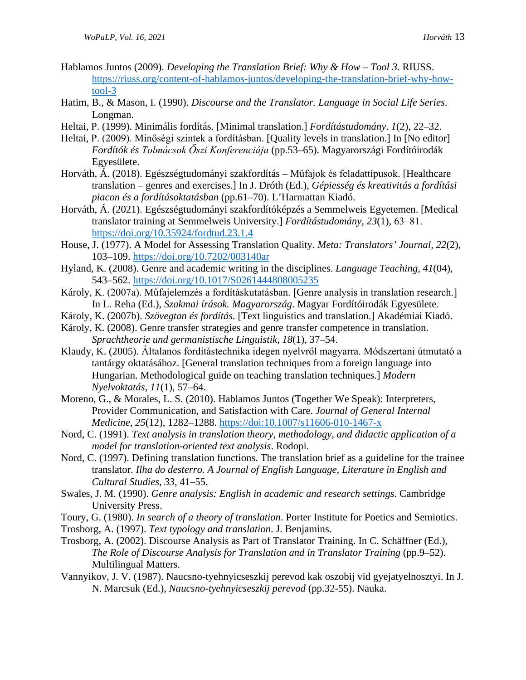- Hablamos Juntos (2009). *Developing the Translation Brief: Why & How – Tool 3*. RIUSS. [https://riuss.org/content-of-hablamos-juntos/developing-the-translation-brief-why-how](https://riuss.org/content-of-hablamos-juntos/developing-the-translation-brief-why-how-tool-3)[tool-3](https://riuss.org/content-of-hablamos-juntos/developing-the-translation-brief-why-how-tool-3)
- Hatim, B., & Mason, I. (1990). *Discourse and the Translator. Language in Social Life Series*. Longman.
- Heltai, P. (1999). Minimális fordítás. [Minimal translation.] *Fordítástudomány*. *1*(2), 22–32.
- Heltai, P. (2009). Minőségi szintek a fordításban. [Quality levels in translation.] In [No editor] *Fordítók és Tolmácsok Őszi Konferenciája* (pp.53–65). Magyarországi Fordítóirodák Egyesülete.
- Horváth, Á. (2018). Egészségtudományi szakfordítás Műfajok és feladattípusok. [Healthcare translation – genres and exercises.] In J. Dróth (Ed.), *Gépiesség és kreativitás a fordítási piacon és a fordításoktatásban* (pp.61–70). L'Harmattan Kiadó.
- Horváth, Á. (2021). Egészségtudományi szakfordítóképzés a Semmelweis Egyetemen. [Medical translator training at Semmelweis University.] *Fordítástudomány, 23*(1), 63‒81. <https://doi.org/10.35924/fordtud.23.1.4>
- House, J. (1977). A Model for Assessing Translation Quality. *Meta: Translators' Journal, 22*(2), 103–109.<https://doi.org/10.7202/003140ar>
- Hyland, K. (2008). Genre and academic writing in the disciplines. *Language Teaching, 41*(04), 543–562.<https://doi.org/10.1017/S0261444808005235>
- Károly, K. (2007a). Műfajelemzés a fordításkutatásban. [Genre analysis in translation research.] In L. Reha (Ed.), *Szakmai írások. Magyarország*. Magyar Fordítóirodák Egyesülete.
- Károly, K. (2007b). *Szövegtan és fordítás.* [Text linguistics and translation.] Akadémiai Kiadó.
- Károly, K. (2008). Genre transfer strategies and genre transfer competence in translation. *Sprachtheorie und germanistische Linguistik, 18*(1), 37–54.
- Klaudy, K. (2005). Általanos fordítástechnika idegen nyelvről magyarra. Módszertani útmutató a tantárgy oktatásához. [General translation techniques from a foreign language into Hungarian. Methodological guide on teaching translation techniques.] *Modern Nyelvoktatás, 11*(1), 57–64.
- Moreno, G., & Morales, L. S. (2010). Hablamos Juntos (Together We Speak): Interpreters, Provider Communication, and Satisfaction with Care. *Journal of General Internal Medicine, 25*(12), 1282–1288.<https://doi:10.1007/s11606-010-1467-x>
- Nord, C. (1991). *Text analysis in translation theory, methodology, and didactic application of a model for translation-oriented text analysis*. Rodopi.
- Nord, C. (1997). Defining translation functions. The translation brief as a guideline for the trainee translator. *Ilha do desterro. A Journal of English Language, Literature in English and Cultural Studies*, *33*, 41–55.
- Swales, J. M. (1990). *Genre analysis: English in academic and research settings*. Cambridge University Press.
- Toury, G. (1980). *In search of a theory of translation*. Porter Institute for Poetics and Semiotics.
- Trosborg, A. (1997). *Text typology and translation*. J. Benjamins.
- Trosborg, A. (2002). Discourse Analysis as Part of Translator Training. In C. Schäffner (Ed.), *The Role of Discourse Analysis for Translation and in Translator Training* (pp.9–52). Multilingual Matters.
- Vannyikov, J. V. (1987). Naucsno-tyehnyicseszkij perevod kak oszobij vid gyejatyelnosztyi. In J. N. Marcsuk (Ed.), *Naucsno-tyehnyicseszkij perevod* (pp.32-55). Nauka.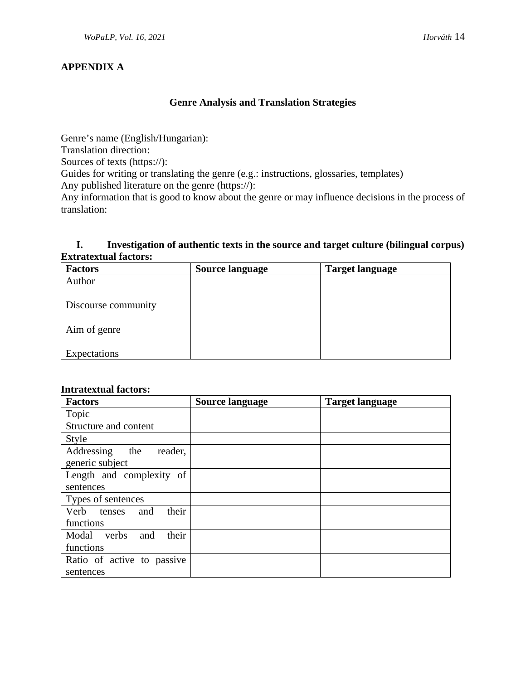# **APPENDIX A**

### **Genre Analysis and Translation Strategies**

Genre's name (English/Hungarian):

Translation direction:

Sources of texts (https://):

Guides for writing or translating the genre (e.g.: instructions, glossaries, templates) Any published literature on the genre (https://):

Any information that is good to know about the genre or may influence decisions in the process of translation:

# **I. Investigation of authentic texts in the source and target culture (bilingual corpus) Extratextual factors:**

| <b>Factors</b>      | <b>Source language</b> | <b>Target language</b> |
|---------------------|------------------------|------------------------|
| Author              |                        |                        |
|                     |                        |                        |
| Discourse community |                        |                        |
|                     |                        |                        |
| Aim of genre        |                        |                        |
|                     |                        |                        |
| Expectations        |                        |                        |

# **Intratextual factors:**

| <b>Factors</b>               | <b>Source language</b> | <b>Target language</b> |
|------------------------------|------------------------|------------------------|
| Topic                        |                        |                        |
| Structure and content        |                        |                        |
| <b>Style</b>                 |                        |                        |
| Addressing<br>reader,<br>the |                        |                        |
| generic subject              |                        |                        |
| Length and complexity of     |                        |                        |
| sentences                    |                        |                        |
| Types of sentences           |                        |                        |
| their<br>Verb tenses<br>and  |                        |                        |
| functions                    |                        |                        |
| their<br>Modal verbs<br>and  |                        |                        |
| functions                    |                        |                        |
| Ratio of active to passive   |                        |                        |
| sentences                    |                        |                        |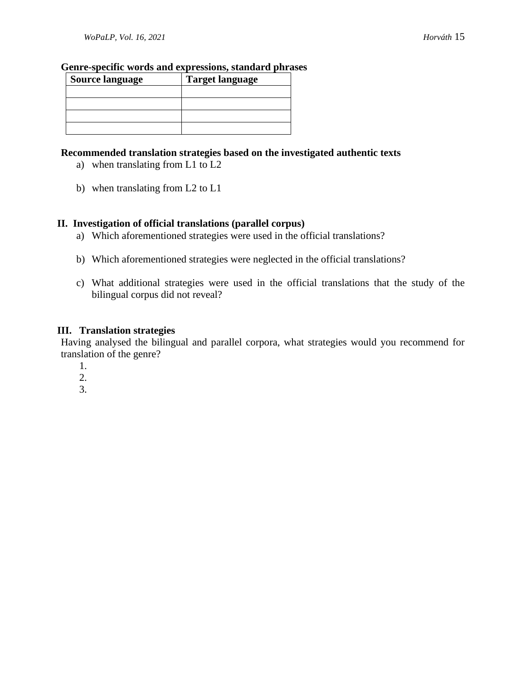#### **Genre-specific words and expressions, standard phrases**

| <b>Source language</b> | <b>Target language</b> |
|------------------------|------------------------|
|                        |                        |
|                        |                        |
|                        |                        |
|                        |                        |

### **Recommended translation strategies based on the investigated authentic texts**

- a) when translating from L1 to L2
- b) when translating from L2 to L1

### **II. Investigation of official translations (parallel corpus)**

- a) Which aforementioned strategies were used in the official translations?
- b) Which aforementioned strategies were neglected in the official translations?
- c) What additional strategies were used in the official translations that the study of the bilingual corpus did not reveal?

### **III. Translation strategies**

Having analysed the bilingual and parallel corpora, what strategies would you recommend for translation of the genre?

- 1.
- 2.
- 3.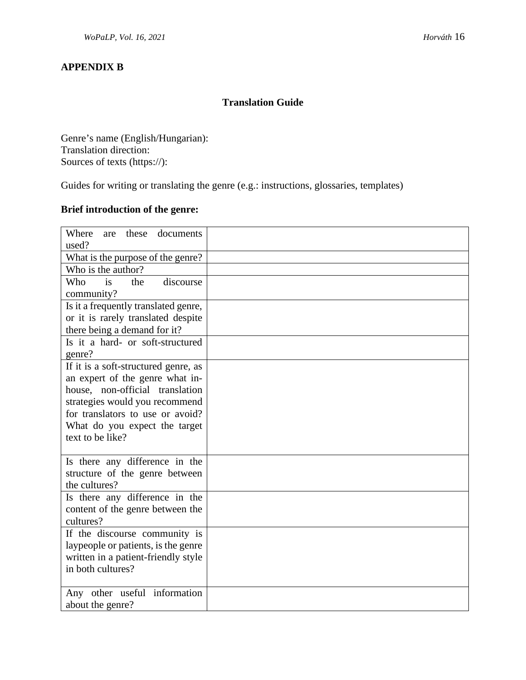# **APPENDIX B**

# **Translation Guide**

Genre's name (English/Hungarian): Translation direction: Sources of texts (https://):

Guides for writing or translating the genre (e.g.: instructions, glossaries, templates)

# **Brief introduction of the genre:**

| Where<br>these<br>documents<br>are<br>used?                                                                                                                                                                                           |  |
|---------------------------------------------------------------------------------------------------------------------------------------------------------------------------------------------------------------------------------------|--|
| What is the purpose of the genre?                                                                                                                                                                                                     |  |
| Who is the author?                                                                                                                                                                                                                    |  |
| discourse<br>Who<br>is<br>the<br>community?                                                                                                                                                                                           |  |
| Is it a frequently translated genre,<br>or it is rarely translated despite<br>there being a demand for it?                                                                                                                            |  |
| Is it a hard- or soft-structured<br>genre?                                                                                                                                                                                            |  |
| If it is a soft-structured genre, as<br>an expert of the genre what in-<br>house, non-official translation<br>strategies would you recommend<br>for translators to use or avoid?<br>What do you expect the target<br>text to be like? |  |
| Is there any difference in the<br>structure of the genre between<br>the cultures?                                                                                                                                                     |  |
| Is there any difference in the<br>content of the genre between the<br>cultures?                                                                                                                                                       |  |
| If the discourse community is<br>laypeople or patients, is the genre<br>written in a patient-friendly style<br>in both cultures?                                                                                                      |  |
| Any other useful information<br>about the genre?                                                                                                                                                                                      |  |